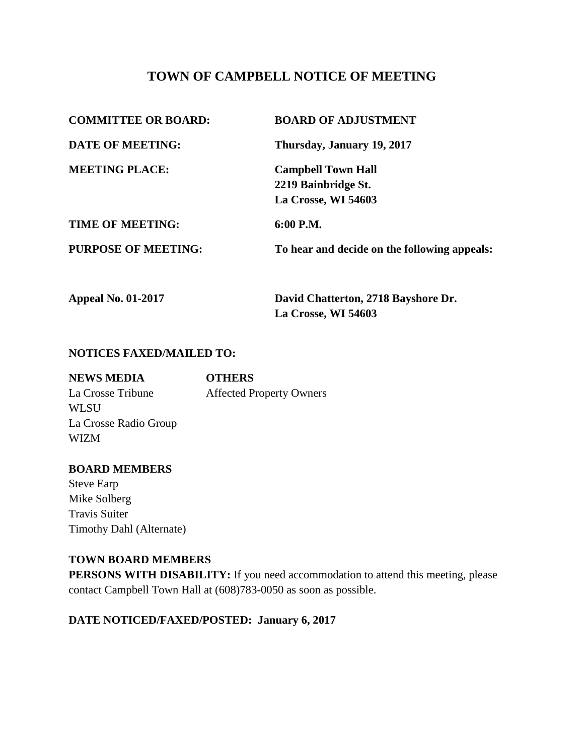# **TOWN OF CAMPBELL NOTICE OF MEETING**

| <b>COMMITTEE OR BOARD:</b> | <b>BOARD OF ADJUSTMENT</b>                   |
|----------------------------|----------------------------------------------|
| <b>DATE OF MEETING:</b>    | Thursday, January 19, 2017                   |
| <b>MEETING PLACE:</b>      | <b>Campbell Town Hall</b>                    |
|                            | 2219 Bainbridge St.                          |
|                            | La Crosse, WI 54603                          |
| <b>TIME OF MEETING:</b>    | $6:00$ P.M.                                  |
| <b>PURPOSE OF MEETING:</b> | To hear and decide on the following appeals: |
|                            |                                              |
|                            |                                              |

**Appeal No. 01-2017 David Chatterton, 2718 Bayshore Dr. La Crosse, WI 54603**

### **NOTICES FAXED/MAILED TO:**

| <b>NEWS MEDIA</b>     | <b>OTHERS</b>                   |
|-----------------------|---------------------------------|
| La Crosse Tribune     | <b>Affected Property Owners</b> |
| <b>WLSU</b>           |                                 |
| La Crosse Radio Group |                                 |
| <b>WIZM</b>           |                                 |
|                       |                                 |

### **BOARD MEMBERS**

Steve Earp Mike Solberg Travis Suiter Timothy Dahl (Alternate)

### **TOWN BOARD MEMBERS**

**PERSONS WITH DISABILITY:** If you need accommodation to attend this meeting, please contact Campbell Town Hall at (608)783-0050 as soon as possible.

## **DATE NOTICED/FAXED/POSTED: January 6, 2017**